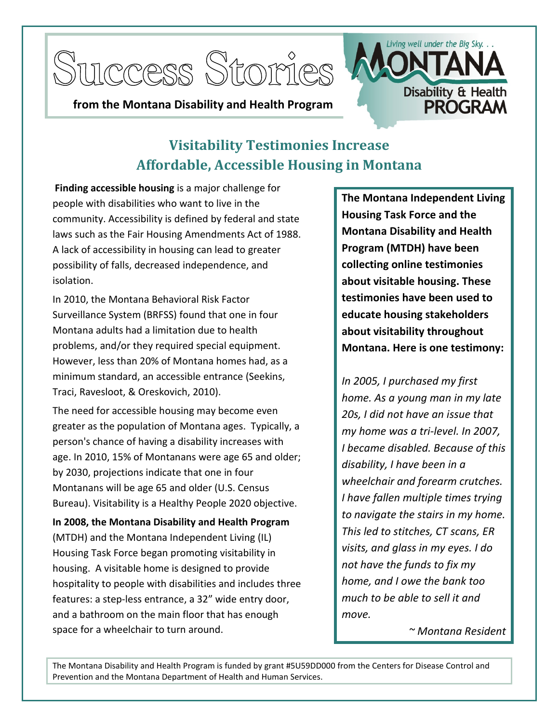



## **from the Montana Disability and Health Program**

## **Visitability Testimonies Increase Affordable, Accessible Housing in Montana**

**Finding accessible housing** is a major challenge for people with disabilities who want to live in the community. Accessibility is defined by federal and state laws such as the Fair Housing Amendments Act of 1988. A lack of accessibility in housing can lead to greater possibility of falls, decreased independence, and isolation.

In 2010, the Montana Behavioral Risk Factor Surveillance System (BRFSS) found that one in four Montana adults had a limitation due to health problems, and/or they required special equipment. However, less than 20% of Montana homes had, as a minimum standard, an accessible entrance (Seekins, Traci, Ravesloot, & Oreskovich, 2010).

The need for accessible housing may become even greater as the population of Montana ages. Typically, a person's chance of having a disability increases with age. In 2010, 15% of Montanans were age 65 and older; by 2030, projections indicate that one in four Montanans will be age 65 and older (U.S. Census Bureau). Visitability is a Healthy People 2020 objective.

**In 2008, the Montana Disability and Health Program** (MTDH) and the Montana Independent Living (IL) Housing Task Force began promoting visitability in housing. A visitable home is designed to provide hospitality to people with disabilities and includes three features: a step-less entrance, a 32" wide entry door, and a bathroom on the main floor that has enough space for a wheelchair to turn around.

**The Montana Independent Living Housing Task Force and the Montana Disability and Health Program (MTDH) have been collecting online testimonies about visitable housing. These testimonies have been used to educate housing stakeholders about visitability throughout Montana. Here is one testimony:**

*In 2005, I purchased my first home. As a young man in my late 20s, I did not have an issue that my home was a tri-level. In 2007, I became disabled. Because of this disability, I have been in a wheelchair and forearm crutches. I have fallen multiple times trying to navigate the stairs in my home. This led to stitches, CT scans, ER visits, and glass in my eyes. I do not have the funds to fix my home, and I owe the bank too much to be able to sell it and move.*

*~ Montana Resident*

The Montana Disability and Health Program is funded by grant #5U59DD000 from the Centers for Disease Control and Prevention and the Montana Department of Health and Human Services.